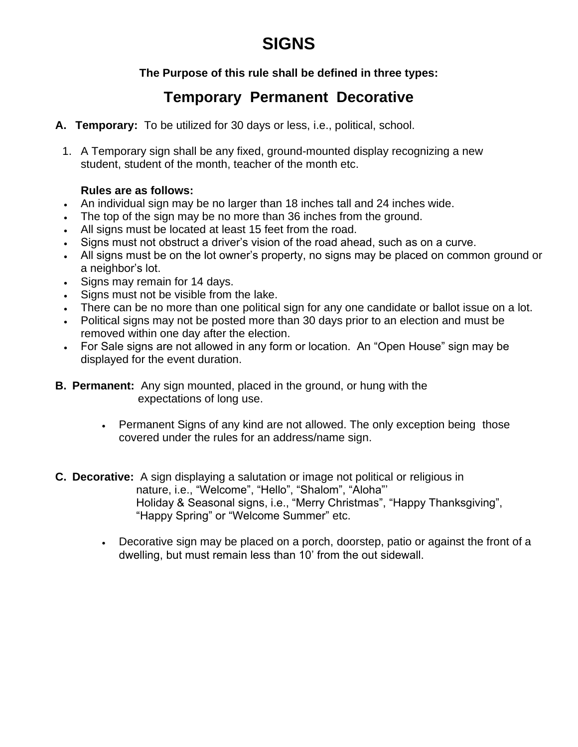# **SIGNS**

## **The Purpose of this rule shall be defined in three types:**

# **Temporary Permanent Decorative**

- **A. Temporary:** To be utilized for 30 days or less, i.e., political, school.
	- 1. A Temporary sign shall be any fixed, ground-mounted display recognizing a new student, student of the month, teacher of the month etc.

#### **Rules are as follows:**

- An individual sign may be no larger than 18 inches tall and 24 inches wide.
- The top of the sign may be no more than 36 inches from the ground.
- All signs must be located at least 15 feet from the road.
- Signs must not obstruct a driver's vision of the road ahead, such as on a curve.
- All signs must be on the lot owner's property, no signs may be placed on common ground or a neighbor's lot.
- Signs may remain for 14 days.
- Signs must not be visible from the lake.
- There can be no more than one political sign for any one candidate or ballot issue on a lot.
- Political signs may not be posted more than 30 days prior to an election and must be removed within one day after the election.
- For Sale signs are not allowed in any form or location. An "Open House" sign may be displayed for the event duration.
- **B. Permanent:** Any sign mounted, placed in the ground, or hung with the expectations of long use.
	- Permanent Signs of any kind are not allowed. The only exception being those covered under the rules for an address/name sign.
- **C. Decorative:** A sign displaying a salutation or image not political or religious in nature, i.e., "Welcome", "Hello", "Shalom", "Aloha"' Holiday & Seasonal signs, i.e., "Merry Christmas", "Happy Thanksgiving", "Happy Spring" or "Welcome Summer" etc.
	- Decorative sign may be placed on a porch, doorstep, patio or against the front of a dwelling, but must remain less than 10' from the out sidewall.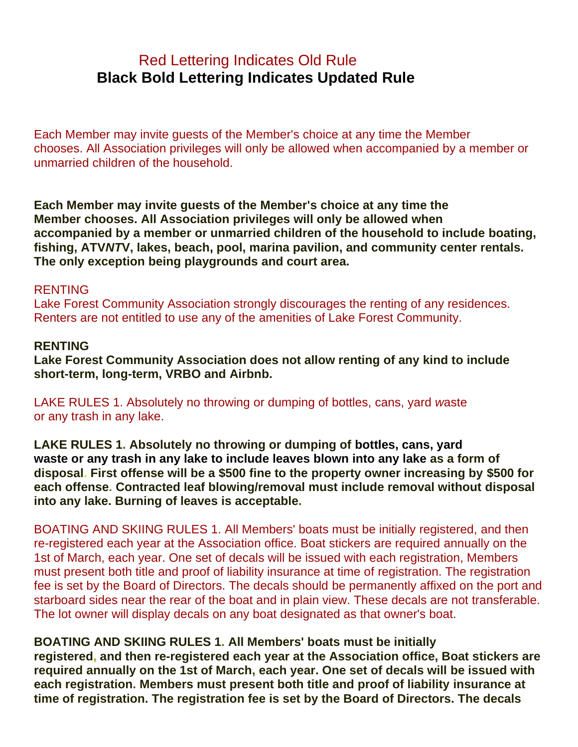# Red Lettering Indicates Old Rule **Black Bold Lettering Indicates Updated Rule**

Each Member may invite guests of the Member's choice at any time the Member chooses. All Association privileges will only be allowed when accompanied by a member or unmarried children of the household.

**Each Member may invite guests of the Member's choice at any time the Member chooses. All Association privileges will only be allowed when accompanied by a member or unmarried children of the household to include boating, fishing, ATV***NT***V, lakes, beach, pool, marina pavilion, and community center rentals. The only exception being playgrounds and court area.**

#### RENTING

Lake Forest Community Association strongly discourages the renting of any residences. Renters are not entitled to use any of the amenities of Lake Forest Community.

#### **RENTING**

**Lake Forest Community Association does not allow renting of any kind to include short-term, long-term, VRBO and Airbnb.**

LAKE RULES 1. Absolutely no throwing or dumping of bottles, cans, yard *w*aste or any trash in any lake.

**LAKE RULES 1. Absolutely no throwing or dumping of bottles, cans, yard waste or any trash in any lake to include leaves blown into any lake as a form of disposal. First offense will be a \$500 fine to the property owner increasing by \$500 for each offense. Contracted leaf blowing/removal must include removal without disposal into any lake. Burning of leaves is acceptable.**

BOATING AND SKIING RULES 1. All Members' boats must be initially registered, and then re-registered each year at the Association office. Boat stickers are required annually on the 1st of March, each year. One set of decals will be issued with each registration, Members must present both title and proof of liability insurance at time of registration. The registration fee is set by the Board of Directors. The decals should be permanently affixed on the port and starboard sides near the rear of the boat and in plain view. These decals are not transferable. The lot owner will display decals on any boat designated as that owner's boat.

#### **BOATING AND SKIING RULES 1. All Members' boats must be initially**

**registered, and then re-registered each year at the Association office, Boat stickers are required annually on the 1st of March, each year. One set of decals will be issued with each registration. Members must present both title and proof of liability insurance at time of registration. The registration fee is set by the Board of Directors. The decals**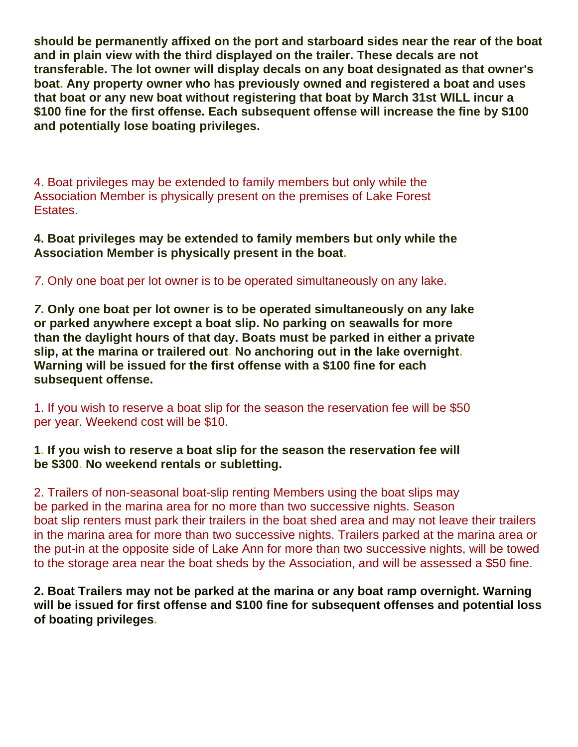**should be permanently affixed on the port and starboard sides near the rear of the boat and in plain view with the third displayed on the trailer. These decals are not transferable. The lot owner will display decals on any boat designated as that owner's boat. Any property owner who has previously owned and registered a boat and uses that boat or any new boat without registering that boat by March 31st WILL incur a \$100 fine for the first offense. Each subsequent offense will increase the fine by \$100 and potentially lose boating privileges.**

4. Boat privileges may be extended to family members but only while the Association Member is physically present on the premises of Lake Forest Estates.

**4. Boat privileges may be extended to family members but only while the Association Member is physically present in the boat.**

*7*. Only one boat per lot owner is to be operated simultaneously on any lake.

*7***. Only one boat per lot owner is to be operated simultaneously on any lake or parked anywhere except a boat slip. No parking on seawalls for more than the daylight hours of that day. Boats must be parked in either a private slip, at the marina or trailered out. No anchoring out in the lake overnight. Warning will be issued for the first offense with a \$100 fine for each subsequent offense.**

1. If you wish to reserve a boat slip for the season the reservation fee will be \$50 per year. Weekend cost will be \$10.

**1. If you wish to reserve a boat slip for the season the reservation fee will be \$300. No weekend rentals or subletting.**

2. Trailers of non-seasonal boat-slip renting Members using the boat slips may be parked in the marina area for no more than two successive nights. Season boat slip renters must park their trailers in the boat shed area and may not leave their trailers in the marina area for more than two successive nights. Trailers parked at the marina area or the put-in at the opposite side of Lake Ann for more than two successive nights, will be towed to the storage area near the boat sheds by the Association, and will be assessed a \$50 fine.

**2. Boat Trailers may not be parked at the marina or any boat ramp overnight. Warning will be issued for first offense and \$100 fine for subsequent offenses and potential loss of boating privileges.**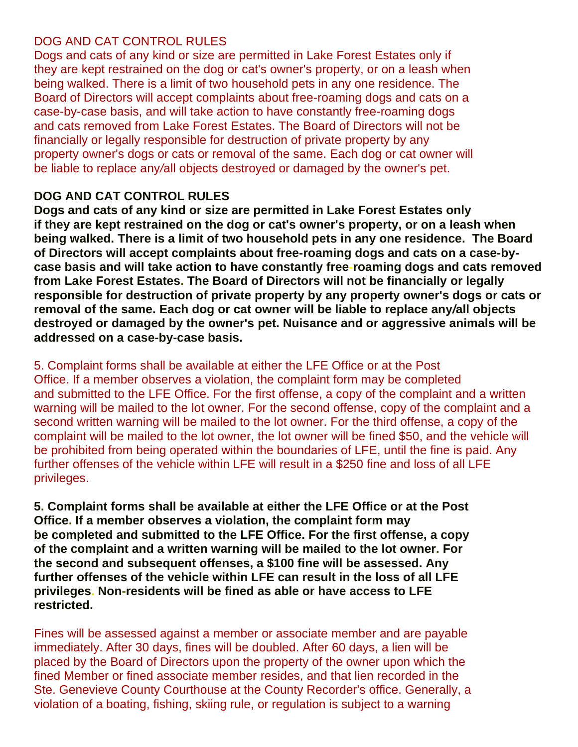## DOG AND CAT CONTROL RULES

Dogs and cats of any kind or size are permitted in Lake Forest Estates only if they are kept restrained on the dog or cat's owner's property, or on a leash when being walked. There is a limit of two household pets in any one residence. The Board of Directors will accept complaints about free-roaming dogs and cats on a case-by-case basis, and will take action to have constantly free-roaming dogs and cats removed from Lake Forest Estates. The Board of Directors will not be financially or legally responsible for destruction of private property by any property owner's dogs or cats or removal of the same. Each dog or cat owner will be liable to replace any*/*all objects destroyed or damaged by the owner's pet.

## **DOG AND CAT CONTROL RULES**

**Dogs and cats of any kind or size are permitted in Lake Forest Estates only if they are kept restrained on the dog or cat's owner's property, or on a leash when being walked. There is a limit of two household pets in any one residence. The Board of Directors will accept complaints about free-roaming dogs and cats on a case-bycase basis and will take action to have constantly free-roaming dogs and cats removed from Lake Forest Estates. The Board of Directors will not be financially or legally responsible for destruction of private property by any property owner's dogs or cats or removal of the same. Each dog or cat owner will be liable to replace any***/***all objects destroyed or damaged by the owner's pet. Nuisance and or aggressive animals will be addressed on a case-by-case basis.**

## 5. Complaint forms shall be available at either the LFE Office or at the Post

Office. If a member observes a violation, the complaint form may be completed and submitted to the LFE Office. For the first offense, a copy of the complaint and a written warning will be mailed to the lot owner. For the second offense, copy of the complaint and a second written warning will be mailed to the lot owner. For the third offense, a copy of the complaint will be mailed to the lot owner, the lot owner will be fined \$50, and the vehicle will be prohibited from being operated within the boundaries of LFE, until the fine is paid. Any further offenses of the vehicle within LFE will result in a \$250 fine and loss of all LFE privileges.

**5. Complaint forms shall be available at either the LFE Office or at the Post Office. If a member observes a violation, the complaint form may be completed and submitted to the LFE Office. For the first offense, a copy of the complaint and a written warning will be mailed to the lot owner. For the second and subsequent offenses, a \$100 fine will be assessed. Any further offenses of the vehicle within LFE can result in the loss of all LFE privileges. Non-residents will be fined as able or have access to LFE restricted.**

Fines will be assessed against a member or associate member and are payable immediately. After 30 days, fines will be doubled. After 60 days, a lien will be placed by the Board of Directors upon the property of the owner upon which the fined Member or fined associate member resides, and that lien recorded in the Ste. Genevieve County Courthouse at the County Recorder's office. Generally, a violation of a boating, fishing, skiing rule, or regulation is subject to a warning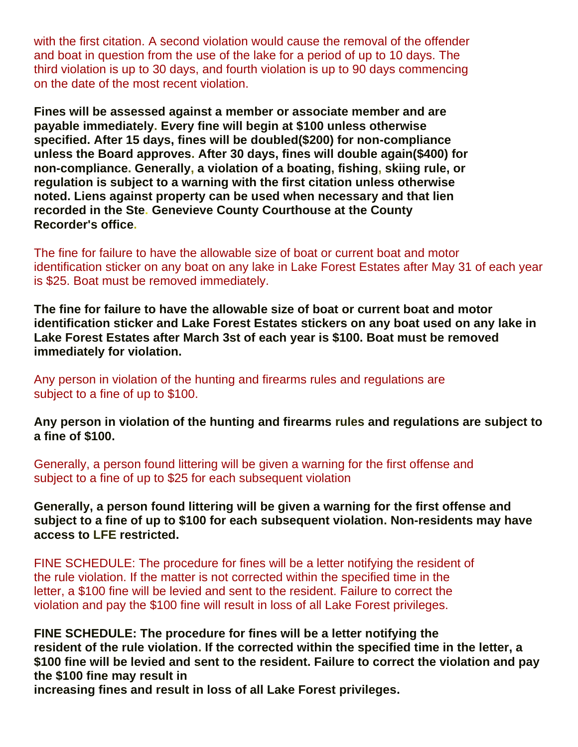with the first citation. A second violation would cause the removal of the offender and boat in question from the use of the lake for a period of up to 10 days. The third violation is up to 30 days, and fourth violation is up to 90 days commencing on the date of the most recent violation.

**Fines will be assessed against a member or associate member and are payable immediately. E***v***ery fine will begin at \$100 unless otherwise specified. After 15 days, fines will be doubled(\$200) for non-compliance unless the Board approves. After 30 days, fines will double again(\$400) for non-compliance. Generally, a violation of a boating, fishing, skiing rule, or regulation is subject to a warning with the first citation unless otherwise noted. Liens against property can be used when necessary and that lien recorded in the Ste. Genevieve County Courthouse at the County Recorder's office.**

The fine for failure to have the allowable size of boat or current boat and motor identification sticker on any boat on any lake in Lake Forest Estates after May 31 of each year is \$25. Boat must be removed immediately.

**The fine for failure to have the allowable size of boat or current boat and motor identification sticker and Lake Forest Estates stickers on any boat used on any lake in Lake Forest Estates after March 3st of each year is \$100. Boat must be removed immediately for violation.**

Any person in violation of the hunting and firearms rules and regulations are subject to a fine of up to \$100.

**Any person in violation of the hunting and firearms rules and regulations are subject to a fine of \$100.**

Generally, a person found littering will be given a warning for the first offense and subject to a fine of up to \$25 for each subsequent violation

**Generally, a person found littering will be given a warning for the first offense and subject to a fine of up to \$100 for each subsequent violation. Non-residents may have access to LFE restricted.**

FINE SCHEDULE: The procedure for fines will be a letter notifying the resident of the rule violation. If the matter is not corrected within the specified time in the letter, a \$100 fine will be levied and sent to the resident. Failure to correct the violation and pay the \$100 fine will result in loss of all Lake Forest privileges.

**FINE SCHEDULE: The procedure for fines will be a letter notifying the resident of the rule violation. If the corrected within the specified time in the letter, a \$100 fine will be levied and sent to the resident. Failure to correct the violation and pay the \$100 fine may result in increasing fines and result in loss of all Lake Forest privileges.**